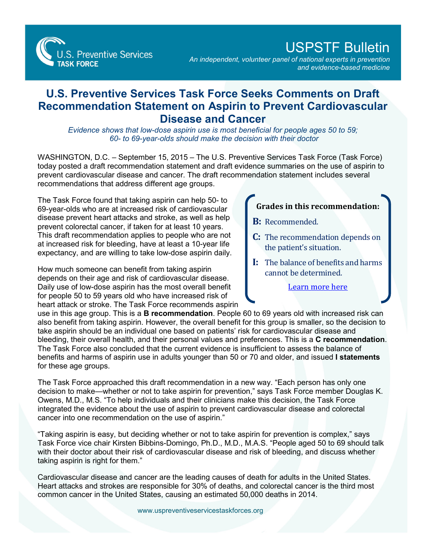**S. Preventive Services TASK FORCE** 

## USPSTF Bulletin

*An independent, volunteer panel of national experts in prevention and evidence-based medicine*

## **U.S. Preventive Services Task Force Seeks Comments on Draft Recommendation Statement on Aspirin to Prevent Cardiovascular Disease and Cancer**

*Evidence shows that low-dose aspirin use is most beneficial for people ages 50 to 59; 60- to 69-year-olds should make the decision with their doctor*

WASHINGTON, D.C. – September 15, 2015 – The U.S. Preventive Services Task Force (Task Force) today posted a draft recommendation statement and draft evidence summaries on the use of aspirin to prevent cardiovascular disease and cancer. The draft recommendation statement includes several recommendations that address different age groups.

The Task Force found that taking aspirin can help 50- to 69-year-olds who are at increased risk of cardiovascular disease prevent heart attacks and stroke, as well as help prevent colorectal cancer, if taken for at least 10 years. This draft recommendation applies to people who are not at increased risk for bleeding, have at least a 10-year life expectancy, and are willing to take low-dose aspirin daily.

How much someone can benefit from taking aspirin depends on their age and risk of cardiovascular disease. Daily use of low-dose aspirin has the most overall benefit for people 50 to 59 years old who have increased risk of heart attack or stroke. The Task Force recommends aspirin

## **Grades in this recommendation:**

- **B:** Recommended.
- **C:** The recommendation depends on the patient's situation.
- **I:** The balance of benefits and harms cannot be determined.

[Learn more here](http://www.uspreventiveservicestaskforce.org/Page/Name/grade-definitions)

use in this age group. This is a **B recommendation**. People 60 to 69 years old with increased risk can also benefit from taking aspirin. However, the overall benefit for this group is smaller, so the decision to take aspirin should be an individual one based on patients' risk for cardiovascular disease and bleeding, their overall health, and their personal values and preferences. This is a **C recommendation**. The Task Force also concluded that the current evidence is insufficient to assess the balance of benefits and harms of aspirin use in adults younger than 50 or 70 and older, and issued **I statements**  for these age groups.

The Task Force approached this draft recommendation in a new way. "Each person has only one decision to make—whether or not to take aspirin for prevention," says Task Force member Douglas K. Owens, M.D., M.S. "To help individuals and their clinicians make this decision, the Task Force integrated the evidence about the use of aspirin to prevent cardiovascular disease and colorectal cancer into one recommendation on the use of aspirin."

"Taking aspirin is easy, but deciding whether or not to take aspirin for prevention is complex," says Task Force vice chair Kirsten Bibbins-Domingo, Ph.D., M.D., M.A.S. "People aged 50 to 69 should talk with their doctor about their risk of cardiovascular disease and risk of bleeding, and discuss whether taking aspirin is right for them."

Cardiovascular disease and cancer are the leading causes of death for adults in the United States. Heart attacks and strokes are responsible for 30% of deaths, and colorectal cancer is the third most common cancer in the United States, causing an estimated 50,000 deaths in 2014.